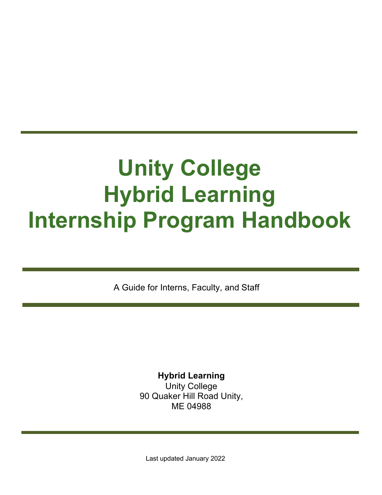# **Unity College Hybrid Learning Internship Program Handbook**

A Guide for Interns, Faculty, and Staff

**Hybrid Learning** Unity College 90 Quaker Hill Road Unity, ME 04988

Last updated January 2022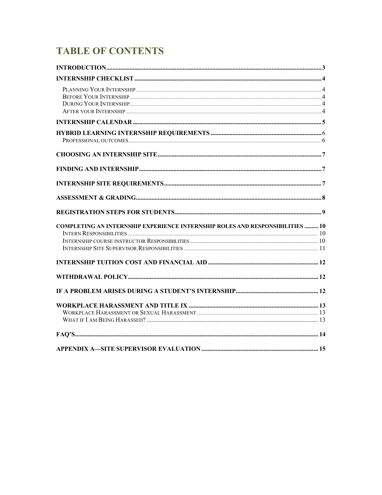# **TABLE OF CONTENTS**

| <b>COMPLETING AN INTERNSHIP EXPERIENCE INTERNSHIP ROLES AND RESPONSIBILITIES 10</b> |                                               |     |
|-------------------------------------------------------------------------------------|-----------------------------------------------|-----|
|                                                                                     |                                               |     |
|                                                                                     |                                               |     |
|                                                                                     |                                               |     |
|                                                                                     |                                               |     |
|                                                                                     |                                               |     |
|                                                                                     |                                               |     |
|                                                                                     |                                               |     |
|                                                                                     |                                               |     |
|                                                                                     |                                               |     |
|                                                                                     |                                               |     |
|                                                                                     |                                               |     |
|                                                                                     |                                               |     |
|                                                                                     |                                               |     |
|                                                                                     |                                               |     |
|                                                                                     |                                               |     |
|                                                                                     |                                               |     |
|                                                                                     |                                               |     |
|                                                                                     |                                               |     |
|                                                                                     |                                               |     |
|                                                                                     | <b>APPENDIX A-SITE SUPERVISOR EVALUATION </b> | .15 |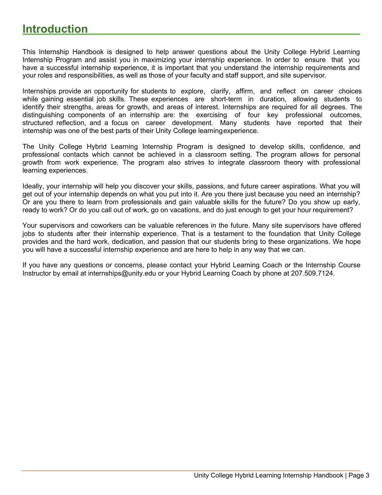## **Introduction**

This Internship Handbook is designed to help answer questions about the Unity College Hybrid Learning Internship Program and assist you in maximizing your internship experience. In order to ensure that you have a successful internship experience, it is important that you understand the internship requirements and your roles and responsibilities, as well as those of your faculty and staff support, and site supervisor.

Internships provide an opportunity for students to explore, clarify, affirm, and reflect on career choices while gaining essential job skills. These experiences are short-term in duration, allowing students to identify their strengths, areas for growth, and areas of interest. Internships are required for all degrees. The distinguishing components of an internship are: the exercising of four key professional outcomes, structured reflection, and a focus on career development. Many students have reported that their internship was one of the best parts of their Unity College learningexperience.

The Unity College Hybrid Learning Internship Program is designed to develop skills, confidence, and professional contacts which cannot be achieved in a classroom setting. The program allows for personal growth from work experience. The program also strives to integrate classroom theory with professional learning experiences.

Ideally, your internship will help you discover your skills, passions, and future career aspirations. What you will get out of your internship depends on what you put into it. Are you there just because you need an internship? Or are you there to learn from professionals and gain valuable skills for the future? Do you show up early, ready to work? Or do you call out of work, go on vacations, and do just enough to get your hour requirement?

Your supervisors and coworkers can be valuable references in the future. Many site supervisors have offered jobs to students after their internship experience. That is a testament to the foundation that Unity College provides and the hard work, dedication, and passion that our students bring to these organizations. We hope you will have a successful internship experience and are here to help in any way that we can.

If you have any questions or concerns, please contact your Hybrid Learning Coach or the Internship Course Instructor by email at internships@unity.edu or your Hybrid Learning Coach by phone at 207.509.7124.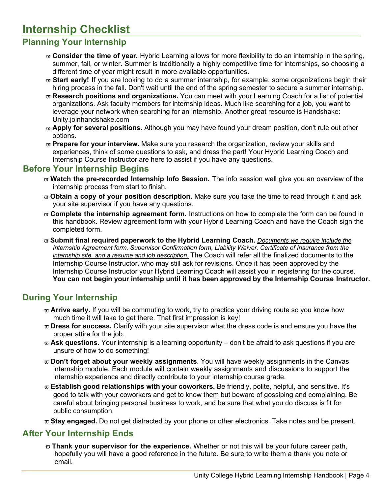# **Internship Checklist**

### **Planning Your Internship**

- v **Consider the time of year.** Hybrid Learning allows for more flexibility to do an internship in the spring, summer, fall, or winter. Summer is traditionally a highly competitive time for internships, so choosing a different time of year might result in more available opportunities.
- v **Start early!** If you are looking to do a summer internship, for example, some organizations begin their hiring process in the fall. Don't wait until the end of the spring semester to secure a summer internship.
- v **Research positions and organizations.** You can meet with your Learning Coach for a list of potential organizations. Ask faculty members for internship ideas. Much like searching for a job, you want to leverage your network when searching for an internship. Another great resource is Handshake: Unity.joinhandshake.com
- $\overline{\omega}$  **Apply for several positions.** Although you may have found your dream position, don't rule out other options.
- $\varpi$  **Prepare for your interview.** Make sure you research the organization, review your skills and experiences, think of some questions to ask, and dress the part! Your Hybrid Learning Coach and Internship Course Instructor are here to assist if you have any questions.

#### **Before Your Internship Begins**

- $\varpi$  Watch the pre-recorded Internship Info Session. The info session well give you an overview of the internship process from start to finish.
- v **Obtain a copy of your position description.** Make sure you take the time to read through it and ask your site supervisor if you have any questions.
- v **Complete the internship agreement form.** Instructions on how to complete the form can be found in this handbook. Review agreement form with your Hybrid Learning Coach and have the Coach sign the completed form.
- v **Submit final required paperwork to the Hybrid Learning Coach.** *Documents we require include the Internship Agreement form, Supervisor Confirmation form, Liability Waiver, Certificate of Insurance from the internship site, and a resume and job description.* The Coach will refer all the finalized documents to the Internship Course Instructor, who may still ask for revisions. Once it has been approved by the Internship Course Instructor your Hybrid Learning Coach will assist you in registering for the course. **You can not begin your internship until it has been approved by the Internship Course Instructor.**

#### **During Your Internship**

- $\overline{\omega}$  **Arrive early.** If you will be commuting to work, try to practice your driving route so you know how much time it will take to get there. That first impression is key!
- $\overline{\omega}$  **Dress for success.** Clarify with your site supervisor what the dress code is and ensure you have the proper attire for the job.
- v **Ask questions.** Your internship is a learning opportunity don't be afraid to ask questions if you are unsure of how to do something!
- v **Don't forget about your weekly assignments**. You will have weekly assignments in the Canvas internship module. Each module will contain weekly assignments and discussions to support the internship experience and directly contribute to your internship course grade.
- v **Establish good relationships with your coworkers.** Be friendly, polite, helpful, and sensitive. It's good to talk with your coworkers and get to know them but beware of gossiping and complaining. Be careful about bringing personal business to work, and be sure that what you do discuss is fit for public consumption.
- v **Stay engaged.** Do not get distracted by your phone or other electronics. Take notes and be present.

#### **After Your Internship Ends**

v **Thank your supervisor for the experience.** Whether or not this will be your future career path, hopefully you will have a good reference in the future. Be sure to write them a thank you note or email.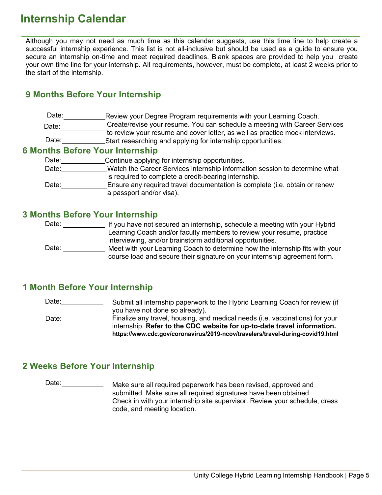# **Internship Calendar**

Although you may not need as much time as this calendar suggests, use this time line to help create a successful internship experience. This list is not all-inclusive but should be used as a guide to ensure you secure an internship on-time and meet required deadlines. Blank spaces are provided to help you create your own time line for your internship. All requirements, however, must be complete, at least 2 weeks prior to the start of the internship.

#### **9 Months Before Your Internship**

Date: Review your Degree Program requirements with your Learning Coach. Date: Create/revise your resume. You can schedule a meeting with Career Services to review your resume and cover letter, as well as practice mock interviews. Date: Start researching and applying for internship opportunities.

#### **6 Months Before Your Internship**

| Date: | Continue applying for internship opportunities.                            |
|-------|----------------------------------------------------------------------------|
| Date: | Watch the Career Services internship information session to determine what |
|       | is required to complete a credit-bearing internship.                       |
| Date: | Ensure any required travel documentation is complete (i.e. obtain or renew |
|       | a passport and/or visa).                                                   |

#### **3 Months Before Your Internship**

Date: \_\_\_\_\_\_\_\_\_\_\_\_\_\_\_ If you have not secured an internship, schedule a meeting with your Hybrid Date: \_\_\_\_\_\_\_\_\_\_\_\_\_\_ Meet with your Learning Coach to determine how the internship fits with your Learning Coach and/or faculty members to review your resume, practice interviewing, and/or brainstorm additional opportunities. course load and secure their signature on your internship agreement form.

#### **1 Month Before Your Internship**

Date: 2000 Date: \_\_\_\_\_\_\_\_\_\_\_\_\_ Submit all internship paperwork to the Hybrid Learning Coach for review (if you have not done so already). Finalize any travel, housing, and medical needs (i.e. vaccinations) for your internship. **Refer to the CDC website for up-to-date travel information.** 

**https://www.cdc.gov/coronavirus/2019-ncov/travelers/travel-during-covid19.html**

#### **2 Weeks Before Your Internship**

Date: \_\_\_\_\_\_\_\_\_\_\_\_\_\_ Make sure all required paperwork has been revised, approved and submitted. Make sure all required signatures have been obtained. Check in with your internship site supervisor. Review your schedule, dress code, and meeting location.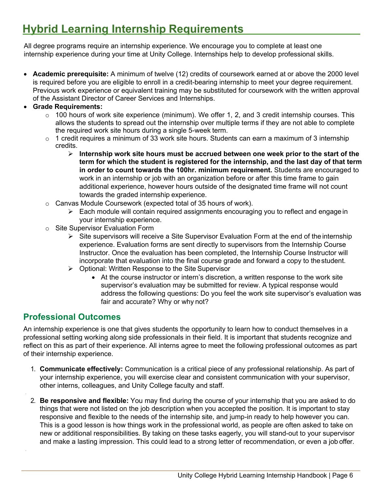# **Hybrid Learning Internship Requirements**

All degree programs require an internship experience. We encourage you to complete at least one internship experience during your time at Unity College. Internships help to develop professional skills.

- **Academic prerequisite:** A minimum of twelve (12) credits of coursework earned at or above the 2000 level is required before you are eligible to enroll in a credit-bearing internship to meet your degree requirement. Previous work experience or equivalent training may be substituted for coursework with the written approval of the Assistant Director of Career Services and Internships.
- **Grade Requirements:**
	- $\circ$  100 hours of work site experience (minimum). We offer 1, 2, and 3 credit internship courses. This allows the students to spread out the internship over multiple terms if they are not able to complete the required work site hours during a single 5-week term.
	- $\circ$  1 credit requires a minimum of 33 work site hours. Students can earn a maximum of 3 internship credits.
		- Ø **Internship work site hours must be accrued between one week prior to the start of the term for which the student is registered for the internship, and the last day of that term in order to count towards the 100hr. minimum requirement.** Students are encouraged to work in an internship or job with an organization before or after this time frame to gain additional experience, however hours outside of the designated time frame will not count towards the graded internship experience.
	- o Canvas Module Coursework (expected total of 35 hours of work).
		- $\triangleright$  Each module will contain required assignments encouraging you to reflect and engage in your internship experience.
	- o Site Supervisor Evaluation Form
		- $\triangleright$  Site supervisors will receive a Site Supervisor Evaluation Form at the end of the internship experience. Evaluation forms are sent directly to supervisors from the Internship Course Instructor. Once the evaluation has been completed, the Internship Course Instructor will incorporate that evaluation into the final course grade and forward a copy to thestudent.
		- $\triangleright$  Optional: Written Response to the Site Supervisor
			- At the course instructor or intern's discretion, a written response to the work site supervisor's evaluation may be submitted for review. A typical response would address the following questions: Do you feel the work site supervisor's evaluation was fair and accurate? Why or why not?

#### **Professional Outcomes**

An internship experience is one that gives students the opportunity to learn how to conduct themselves in a professional setting working along side professionals in their field. It is important that students recognize and reflect on this as part of their experience. All interns agree to meet the following professional outcomes as part of their internship experience.

- 1. **Communicate effectively:** Communication is a critical piece of any professional relationship. As part of your internship experience, you will exercise clear and consistent communication with your supervisor, other interns, colleagues, and Unity College faculty and staff.
- 2. **Be responsive and flexible:** You may find during the course of your internship that you are asked to do things that were not listed on the job description when you accepted the position. It is important to stay responsive and flexible to the needs of the internship site, and jump-in ready to help however you can. This is a good lesson is how things work in the professional world, as people are often asked to take on new or additional responsibilities. By taking on these tasks eagerly, you will stand-out to your supervisor and make a lasting impression. This could lead to a strong letter of recommendation, or even a job offer.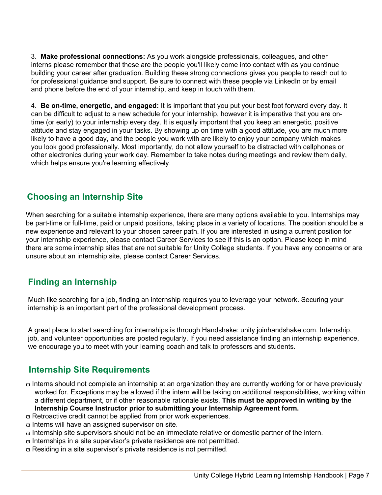3. **Make professional connections:** As you work alongside professionals, colleagues, and other interns please remember that these are the people you'll likely come into contact with as you continue building your career after graduation. Building these strong connections gives you people to reach out to for professional guidance and support. Be sure to connect with these people via LinkedIn or by email and phone before the end of your internship, and keep in touch with them.

4. **Be on-time, energetic, and engaged:** It is important that you put your best foot forward every day. It can be difficult to adjust to a new schedule for your internship, however it is imperative that you are ontime (or early) to your internship every day. It is equally important that you keep an energetic, positive attitude and stay engaged in your tasks. By showing up on time with a good attitude, you are much more likely to have a good day, and the people you work with are likely to enjoy your company which makes you look good professionally. Most importantly, do not allow yourself to be distracted with cellphones or other electronics during your work day. Remember to take notes during meetings and review them daily, which helps ensure you're learning effectively.

#### **Choosing an Internship Site**

When searching for a suitable internship experience, there are many options available to you. Internships may be part-time or full-time, paid or unpaid positions, taking place in a variety of locations. The position should be a new experience and relevant to your chosen career path. If you are interested in using a current position for your internship experience, please contact Career Services to see if this is an option. Please keep in mind there are some internship sites that are not suitable for Unity College students. If you have any concerns or are unsure about an internship site, please contact Career Services.

#### **Finding an Internship**

Much like searching for a job, finding an internship requires you to leverage your network. Securing your internship is an important part of the professional development process.

A great place to start searching for internships is through Handshake: unity.joinhandshake.com. Internship, job, and volunteer opportunities are posted regularly. If you need assistance finding an internship experience, we encourage you to meet with your learning coach and talk to professors and students.

#### **Internship Site Requirements**

 $\varpi$  Interns should not complete an internship at an organization they are currently working for or have previously worked for. Exceptions may be allowed if the intern will be taking on additional responsibilities, working within a different department, or if other reasonable rationale exists. **This must be approved in writing by the Internship Course Instructor prior to submitting your Internship Agreement form.**

- $\varpi$  Retroactive credit cannot be applied from prior work experiences.
- $\varpi$  Interns will have an assigned supervisor on site.
- $\varpi$  Internship site supervisors should not be an immediate relative or domestic partner of the intern.
- $\varpi$  Internships in a site supervisor's private residence are not permitted.
- $\varpi$  Residing in a site supervisor's private residence is not permitted.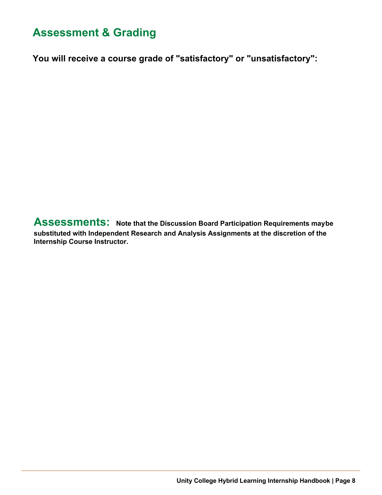# **Assessment & Grading**

**You will receive a course grade of "satisfactory" or "unsatisfactory":**

**Assessments: Note that the Discussion Board Participation Requirements maybe substituted with Independent Research and Analysis Assignments at the discretion of the Internship Course Instructor.**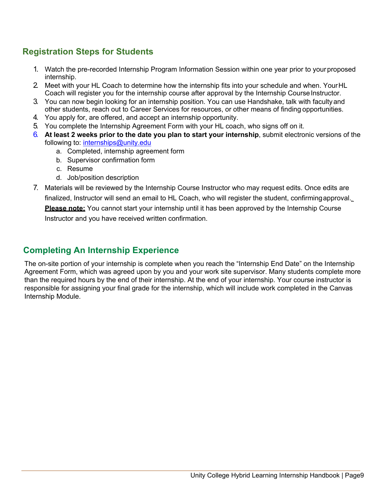#### **Registration Steps for Students**

- 1. Watch the pre-recorded Internship Program Information Session within one year prior to your proposed internship.
- 2. Meet with your HL Coach to determine how the internship fits into your schedule and when. YourHL Coach will register you for the internship course after approval by the Internship Course Instructor.
- 3. You can now begin looking for an internship position. You can use Handshake, talk with facultyand other students, reach out to Career Services for resources, or other means of finding opportunities.
- 4. You apply for, are offered, and accept an internship opportunity.
- 5. You complete the Internship Agreement Form with your HL coach, who signs off on it.
- 6. **At least 2 weeks prior to the date you plan to start your internship**, submit electronic versions of the following to: internships@unity.edu
	- a. Completed, internship agreement form
	- b. Supervisor confirmation form
	- c. Resume
	- d. Job/position description
- 7. Materials will be reviewed by the Internship Course Instructor who may request edits. Once edits are finalized, Instructor will send an email to HL Coach, who will register the student, confirmingapproval. **Please note:** You cannot start your internship until it has been approved by the Internship Course Instructor and you have received written confirmation.

#### **Completing An Internship Experience**

The on-site portion of your internship is complete when you reach the "Internship End Date" on the Internship Agreement Form, which was agreed upon by you and your work site supervisor. Many students complete more than the required hours by the end of their internship. At the end of your internship. Your course instructor is responsible for assigning your final grade for the internship, which will include work completed in the Canvas Internship Module.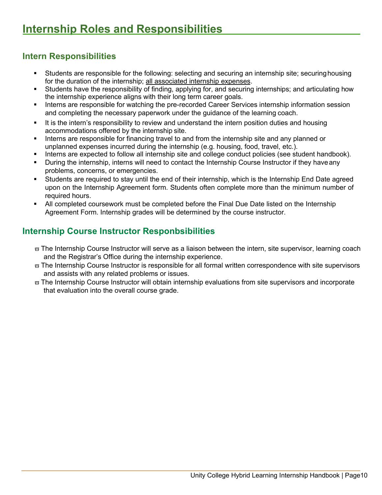#### **Intern Responsibilities**

- Students are responsible for the following: selecting and securing an internship site; securing housing for the duration of the internship; all associated internship expenses.
- § Students have the responsibility of finding, applying for, and securing internships; and articulating how the internship experience aligns with their long term career goals.
- Interns are responsible for watching the pre-recorded Career Services internship information session and completing the necessary paperwork under the guidance of the learning coach.
- It is the intern's responsibility to review and understand the intern position duties and housing accommodations offered by the internship site.
- Interns are responsible for financing travel to and from the internship site and any planned or unplanned expenses incurred during the internship (e.g. housing, food, travel, etc.).
- Interns are expected to follow all internship site and college conduct policies (see student handbook).
- During the internship, interns will need to contact the Internship Course Instructor if they have any problems, concerns, or emergencies.
- Students are required to stay until the end of their internship, which is the Internship End Date agreed upon on the Internship Agreement form. Students often complete more than the minimum number of required hours.
- All completed coursework must be completed before the Final Due Date listed on the Internship Agreement Form. Internship grades will be determined by the course instructor.

#### **Internship Course Instructor Responbsibilities**

- $\varpi$  The Internship Course Instructor will serve as a liaison between the intern, site supervisor, learning coach and the Registrar's Office during the internship experience.
- $\varpi$  The Internship Course Instructor is responsible for all formal written correspondence with site supervisors and assists with any related problems or issues.
- $\varpi$  The Internship Course Instructor will obtain internship evaluations from site supervisors and incorporate that evaluation into the overall course grade.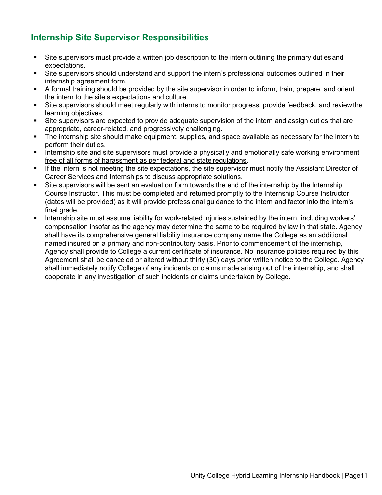### **Internship Site Supervisor Responsibilities**

- Site supervisors must provide a written job description to the intern outlining the primary duties and expectations.
- Site supervisors should understand and support the intern's professional outcomes outlined in their internship agreement form.
- § A formal training should be provided by the site supervisor in order to inform, train, prepare, and orient the intern to the site's expectations and culture.
- Site supervisors should meet regularly with interns to monitor progress, provide feedback, and review the learning objectives.
- Site supervisors are expected to provide adequate supervision of the intern and assign duties that are appropriate, career-related, and progressively challenging.
- The internship site should make equipment, supplies, and space available as necessary for the intern to perform their duties.
- **■** Internship site and site supervisors must provide a physically and emotionally safe working environment free of all forms of harassment as per federal and state regulations.
- If the intern is not meeting the site expectations, the site supervisor must notify the Assistant Director of Career Services and Internships to discuss appropriate solutions.
- Site supervisors will be sent an evaluation form towards the end of the internship by the Internship Course Instructor. This must be completed and returned promptly to the Internship Course Instructor (dates will be provided) as it will provide professional guidance to the intern and factor into the intern's final grade.
- § Internship site must assume liability for work-related injuries sustained by the intern, including workers' compensation insofar as the agency may determine the same to be required by law in that state. Agency shall have its comprehensive general liability insurance company name the College as an additional named insured on a primary and non-contributory basis. Prior to commencement of the internship, Agency shall provide to College a current certificate of insurance. No insurance policies required by this Agreement shall be canceled or altered without thirty (30) days prior written notice to the College. Agency shall immediately notify College of any incidents or claims made arising out of the internship, and shall cooperate in any investigation of such incidents or claims undertaken by College.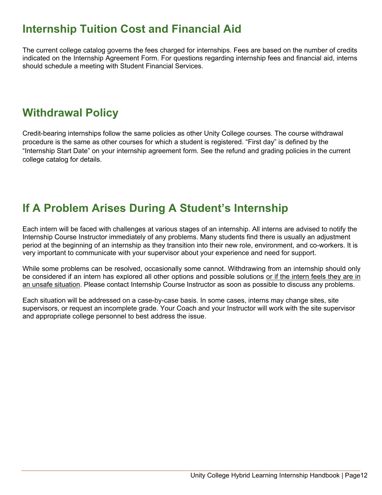# **Internship Tuition Cost and Financial Aid**

The current college catalog governs the fees charged for internships. Fees are based on the number of credits indicated on the Internship Agreement Form. For questions regarding internship fees and financial aid, interns should schedule a meeting with Student Financial Services.

# **Withdrawal Policy**

Credit-bearing internships follow the same policies as other Unity College courses. The course withdrawal procedure is the same as other courses for which a student is registered. "First day" is defined by the "Internship Start Date" on your internship agreement form. See the refund and grading policies in the current college catalog for details.

# **If A Problem Arises During A Student's Internship**

Each intern will be faced with challenges at various stages of an internship. All interns are advised to notify the Internship Course Instructor immediately of any problems. Many students find there is usually an adjustment period at the beginning of an internship as they transition into their new role, environment, and co-workers. It is very important to communicate with your supervisor about your experience and need for support.

While some problems can be resolved, occasionally some cannot. Withdrawing from an internship should only be considered if an intern has explored all other options and possible solutions or if the intern feels they are in an unsafe situation. Please contact Internship Course Instructor as soon as possible to discuss any problems.

Each situation will be addressed on a case-by-case basis. In some cases, interns may change sites, site supervisors, or request an incomplete grade. Your Coach and your Instructor will work with the site supervisor and appropriate college personnel to best address the issue.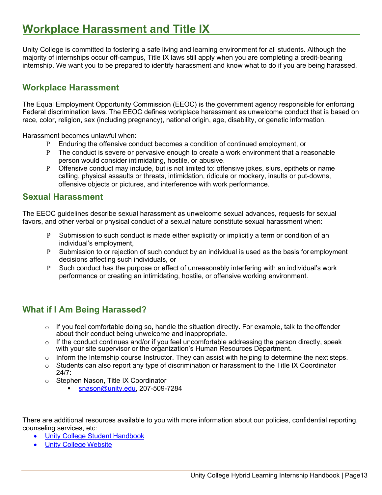# **Workplace Harassment and Title IX**

Unity College is committed to fostering a safe living and learning environment for all students. Although the majority of internships occur off-campus, Title IX laws still apply when you are completing a credit-bearing internship. We want you to be prepared to identify harassment and know what to do if you are being harassed.

#### **Workplace Harassment**

The Equal Employment Opportunity Commission (EEOC) is the government agency responsible for enforcing Federal discrimination laws. The EEOC defines workplace harassment as unwelcome conduct that is based on race, color, religion, sex (including pregnancy), national origin, age, disability, or genetic information.

Harassment becomes unlawful when:

- P Enduring the offensive conduct becomes a condition of continued employment, or
- P The conduct is severe or pervasive enough to create a work environment that a reasonable person would consider intimidating, hostile, or abusive.
- P Offensive conduct may include, but is not limited to: offensive jokes, slurs, epithets or name calling, physical assaults or threats, intimidation, ridicule or mockery, insults or put-downs, offensive objects or pictures, and interference with work performance.

#### **Sexual Harassment**

The EEOC guidelines describe sexual harassment as unwelcome sexual advances, requests for sexual favors, and other verbal or physical conduct of a sexual nature constitute sexual harassment when:

- P Submission to such conduct is made either explicitly or implicitly a term or condition of an individual's employment,
- P Submission to or rejection of such conduct by an individual is used as the basis for employment decisions affecting such individuals, or
- P Such conduct has the purpose or effect of unreasonably interfering with an individual's work performance or creating an intimidating, hostile, or offensive working environment.

#### **What if I Am Being Harassed?**

- $\circ$  If you feel comfortable doing so, handle the situation directly. For example, talk to the offender about their conduct being unwelcome and inappropriate.
- $\circ$  If the conduct continues and/or if you feel uncomfortable addressing the person directly, speak with your site supervisor or the organization's Human Resources Department.
- o Inform the Internship course Instructor. They can assist with helping to determine the next steps.
- $\circ$  Students can also report any type of discrimination or harassment to the Title IX Coordinator 24/7:
- o Stephen Nason, Title IX Coordinator
	- snason@unity.edu, 207-509-7284

There are additional resources available to you with more information about our policies, confidential reporting, counseling services, etc:

- Unity College Student Handbook
- Unity College Website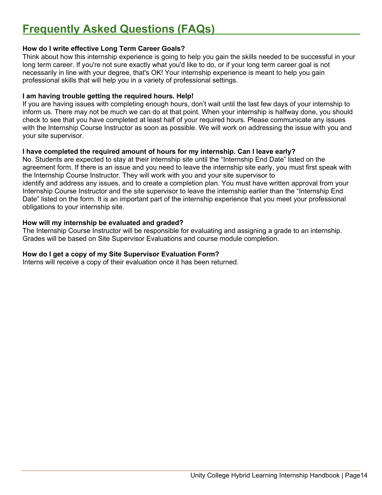#### **How do I write effective Long Term Career Goals?**

Think about how this internship experience is going to help you gain the skills needed to be successful in your long term career. If you're not sure exactly what you'd like to do, or if your long term career goal is not necessarily in line with your degree, that's OK! Your internship experience is meant to help you gain professional skills that will help you in a variety of professional settings.

#### **I am having trouble getting the required hours. Help!**

If you are having issues with completing enough hours, don't wait until the last few days of your internship to inform us. There may not be much we can do at that point. When your internship is halfway done, you should check to see that you have completed at least half of your required hours. Please communicate any issues with the Internship Course Instructor as soon as possible. We will work on addressing the issue with you and your site supervisor.

#### **I have completed the required amount of hours for my internship. Can I leave early?**

No. Students are expected to stay at their internship site until the "Internship End Date" listed on the agreement form. If there is an issue and you need to leave the internship site early, you must first speak with the Internship Course Instructor. They will work with you and your site supervisor to identify and address any issues, and to create a completion plan. You must have written approval from your Internship Course Instructor and the site supervisor to leave the internship earlier than the "Internship End Date" listed on the form. It is an important part of the internship experience that you meet your professional obligations to your internship site.

#### **How will my internship be evaluated and graded?**

The Internship Course Instructor will be responsible for evaluating and assigning a grade to an internship. Grades will be based on Site Supervisor Evaluations and course module completion.

#### **How do I get a copy of my Site Supervisor Evaluation Form?**

Interns will receive a copy of their evaluation once it has been returned.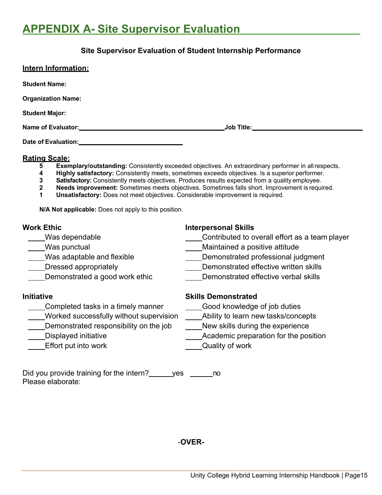# **APPENDIX A- Site Supervisor Evaluation**

#### **Site Supervisor Evaluation of Student Internship Performance**

| <b>Intern Information:</b> |                                            |  |
|----------------------------|--------------------------------------------|--|
| <b>Student Name:</b>       |                                            |  |
| <b>Organization Name:</b>  |                                            |  |
| <b>Student Major:</b>      |                                            |  |
| Name of Evaluator:_        | <u>_Job Title:________________________</u> |  |
| Date of Evaluation:        |                                            |  |

#### **Rating Scale:**

- **5 Exemplary/outstanding:** Consistently exceeded objectives. An extraordinary performer in all respects.<br>**4 Highly satisfactory:** Consistently meets, sometimes exceeds objectives. Is a superior performer.
- **4 Highly satisfactory:** Consistently meets, sometimes exceeds objectives. Is a superior performer.
- **3 Satisfactory:** Consistently meets objectives. Produces results expected from a quality employee.<br>**2 Needs improvement:** Sometimes meets objectives. Sometimes falls short. Improvement is required **2 Needs improvement:** Sometimes meets objectives. Sometimes falls short. Improvement is required.
- **1 Unsatisfactory:** Does not meet objectives. Considerable improvement is required.

**N/A Not applicable:** Does not apply to this position.

- 
- 
- 
- 
- 

- Completed tasks in a timely manner Good knowledge of job duties
- Worked successfully without supervision Ability to learn new tasks/concepts
- Demonstrated responsibility on the job New skills during the experience
- 
- Effort put into work Quality of work

### **Work Ethic Interpersonal Skills**

- Was dependable **Contributed** to overall effort as a team player
- Was punctual Maintained a positive attitude
- Was adaptable and flexible **Example 20** Demonstrated professional judgment
- Letter Dressed appropriately and the Community Communisties of Demonstrated effective written skills
- Demonstrated a good work ethic Demonstrated effective verbal skills

#### **Initiative Skills Demonstrated**

- 
- 
- 
- Displayed initiative **Academic preparation** for the position
	-

Did you provide training for the intern? yes ho Please elaborate:

-**OVER-**